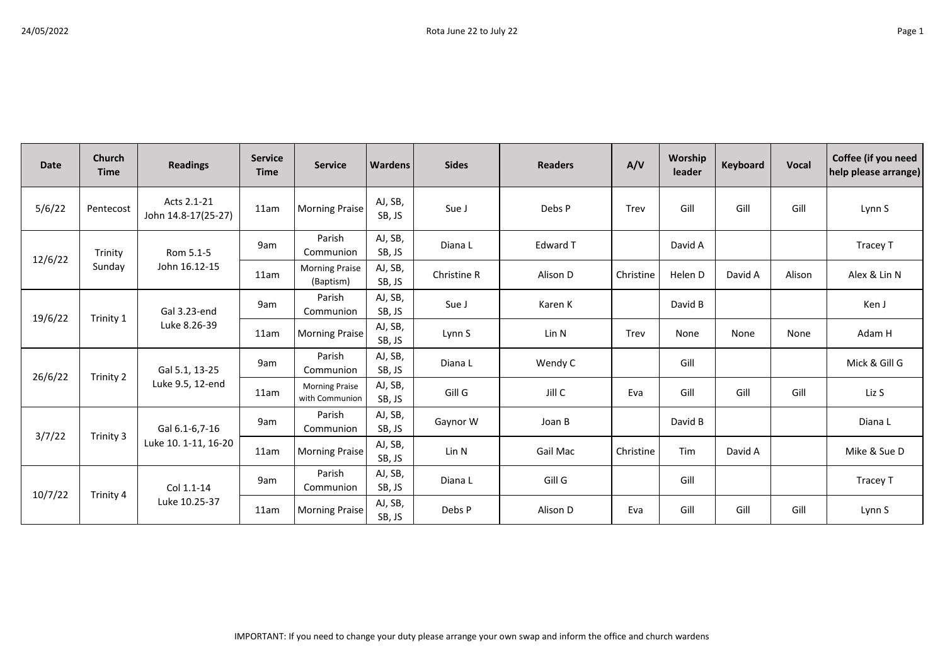| <b>Date</b> | Church<br><b>Time</b> | <b>Readings</b>                        | <b>Service</b><br><b>Time</b> | <b>Service</b>                          | <b>Wardens</b>    | <b>Sides</b> | <b>Readers</b>  | A/V       | Worship<br>leader | Keyboard | <b>Vocal</b> | Coffee (if you need<br>help please arrange) |
|-------------|-----------------------|----------------------------------------|-------------------------------|-----------------------------------------|-------------------|--------------|-----------------|-----------|-------------------|----------|--------------|---------------------------------------------|
| 5/6/22      | Pentecost             | Acts 2.1-21<br>John 14.8-17(25-27)     | 11am                          | <b>Morning Praise</b>                   | AJ, SB,<br>SB, JS | Sue J        | Debs P          | Trev      | Gill              | Gill     | Gill         | Lynn S                                      |
| 12/6/22     | Trinity<br>Sunday     | Rom 5.1-5<br>John 16.12-15             | 9am                           | Parish<br>Communion                     | AJ, SB,<br>SB, JS | Diana L      | Edward T        |           | David A           |          |              | Tracey T                                    |
|             |                       |                                        | 11am                          | <b>Morning Praise</b><br>(Baptism)      | AJ, SB,<br>SB, JS | Christine R  | Alison D        | Christine | Helen D           | David A  | Alison       | Alex & Lin N                                |
| 19/6/22     | Trinity 1             | Gal 3.23-end<br>Luke 8.26-39           | 9am                           | Parish<br>Communion                     | AJ, SB,<br>SB, JS | Sue J        | Karen K         |           | David B           |          |              | Ken J                                       |
|             |                       |                                        | 11am                          | <b>Morning Praise</b>                   | AJ, SB,<br>SB, JS | Lynn S       | Lin N           | Trev      | None              | None     | None         | Adam H                                      |
| 26/6/22     | Trinity 2             | Gal 5.1, 13-25<br>Luke 9.5, 12-end     | 9am                           | Parish<br>Communion                     | AJ, SB,<br>SB, JS | Diana L      | Wendy C         |           | Gill              |          |              | Mick & Gill G                               |
|             |                       |                                        | 11am                          | <b>Morning Praise</b><br>with Communion | AJ, SB,<br>SB, JS | Gill G       | Jill C          | Eva       | Gill              | Gill     | Gill         | Liz S                                       |
| 3/7/22      | Trinity 3             | Gal 6.1-6,7-16<br>Luke 10. 1-11, 16-20 | 9am                           | Parish<br>Communion                     | AJ, SB,<br>SB, JS | Gaynor W     | Joan B          |           | David B           |          |              | Diana L                                     |
|             |                       |                                        | 11am                          | <b>Morning Praise</b>                   | AJ, SB,<br>SB, JS | Lin N        | <b>Gail Mac</b> | Christine | Tim               | David A  |              | Mike & Sue D                                |
| 10/7/22     | Trinity 4             | Col 1.1-14<br>Luke 10.25-37            | 9am                           | Parish<br>Communion                     | AJ, SB,<br>SB, JS | Diana L      | Gill G          |           | Gill              |          |              | Tracey T                                    |
|             |                       |                                        | 11am                          | <b>Morning Praise</b>                   | AJ, SB,<br>SB, JS | Debs P       | Alison D        | Eva       | Gill              | Gill     | Gill         | Lynn S                                      |